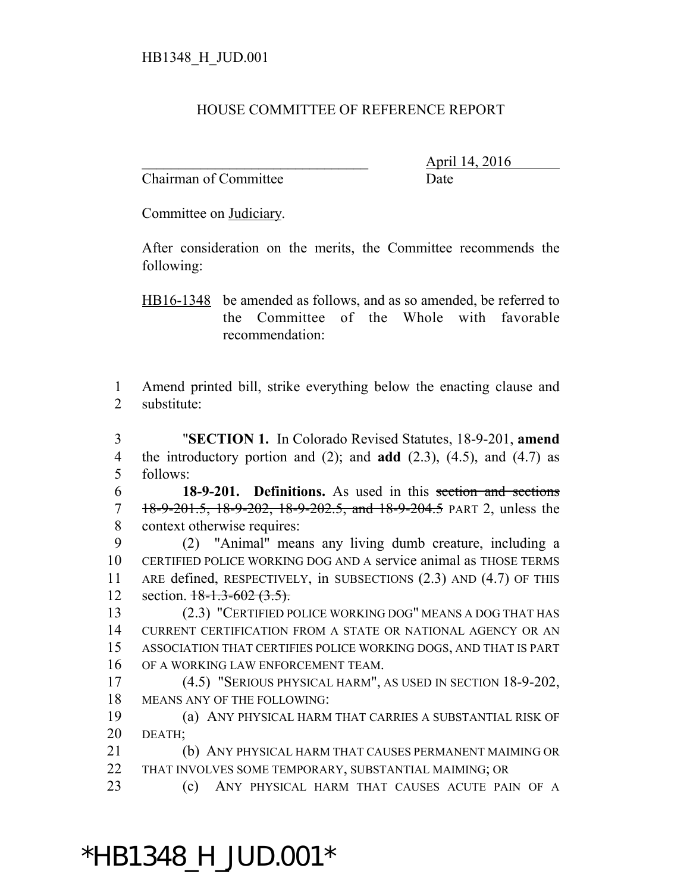## HOUSE COMMITTEE OF REFERENCE REPORT

Chairman of Committee Date

\_\_\_\_\_\_\_\_\_\_\_\_\_\_\_\_\_\_\_\_\_\_\_\_\_\_\_\_\_\_\_ April 14, 2016

Committee on Judiciary.

After consideration on the merits, the Committee recommends the following:

HB16-1348 be amended as follows, and as so amended, be referred to the Committee of the Whole with favorable recommendation:

 Amend printed bill, strike everything below the enacting clause and substitute:

 "**SECTION 1.** In Colorado Revised Statutes, 18-9-201, **amend** the introductory portion and (2); and **add** (2.3), (4.5), and (4.7) as follows:

 **18-9-201. Definitions.** As used in this section and sections 7 18-9-201.5, 18-9-202, 18-9-202.5, and 18-9-204.5 PART 2, unless the context otherwise requires:

 (2) "Animal" means any living dumb creature, including a CERTIFIED POLICE WORKING DOG AND A service animal as THOSE TERMS ARE defined, RESPECTIVELY, in SUBSECTIONS (2.3) AND (4.7) OF THIS 12 section.  $18-1.3-602(3.5)$ .

 (2.3) "CERTIFIED POLICE WORKING DOG" MEANS A DOG THAT HAS CURRENT CERTIFICATION FROM A STATE OR NATIONAL AGENCY OR AN ASSOCIATION THAT CERTIFIES POLICE WORKING DOGS, AND THAT IS PART OF A WORKING LAW ENFORCEMENT TEAM.

 (4.5) "SERIOUS PHYSICAL HARM", AS USED IN SECTION 18-9-202, MEANS ANY OF THE FOLLOWING:

 (a) ANY PHYSICAL HARM THAT CARRIES A SUBSTANTIAL RISK OF DEATH;

 (b) ANY PHYSICAL HARM THAT CAUSES PERMANENT MAIMING OR THAT INVOLVES SOME TEMPORARY, SUBSTANTIAL MAIMING; OR

(c) ANY PHYSICAL HARM THAT CAUSES ACUTE PAIN OF A

## \*HB1348\_H\_JUD.001\*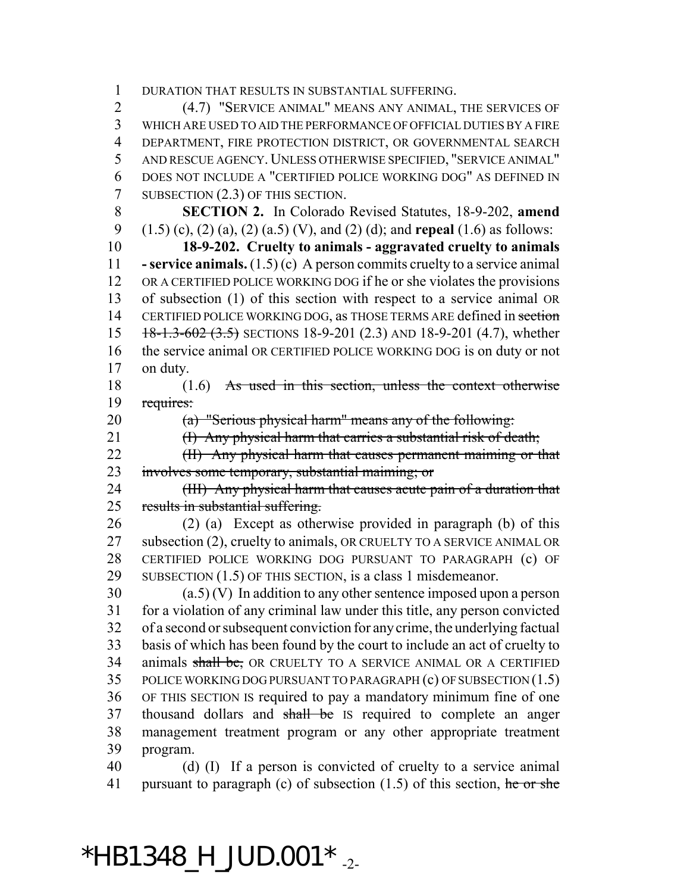DURATION THAT RESULTS IN SUBSTANTIAL SUFFERING.

 (4.7) "SERVICE ANIMAL" MEANS ANY ANIMAL, THE SERVICES OF WHICH ARE USED TO AID THE PERFORMANCE OF OFFICIAL DUTIES BY A FIRE 4 DEPARTMENT, FIRE PROTECTION DISTRICT, OR GOVERNMENTAL SEARCH AND RESCUE AGENCY. UNLESS OTHERWISE SPECIFIED, "SERVICE ANIMAL" DOES NOT INCLUDE A "CERTIFIED POLICE WORKING DOG" AS DEFINED IN 7 SUBSECTION (2.3) OF THIS SECTION.

 **SECTION 2.** In Colorado Revised Statutes, 18-9-202, **amend** (1.5) (c), (2) (a), (2) (a.5) (V), and (2) (d); and **repeal** (1.6) as follows:

 **18-9-202. Cruelty to animals - aggravated cruelty to animals - service animals.** (1.5) (c) A person commits cruelty to a service animal OR A CERTIFIED POLICE WORKING DOG if he or she violates the provisions of subsection (1) of this section with respect to a service animal OR 14 CERTIFIED POLICE WORKING DOG, as THOSE TERMS ARE defined in section 15 18-1.3-602 (3.5) SECTIONS 18-9-201 (2.3) AND 18-9-201 (4.7), whether the service animal OR CERTIFIED POLICE WORKING DOG is on duty or not on duty.

18 (1.6) As used in this section, unless the context otherwise requires:

(a) "Serious physical harm" means any of the following:

21 (I) Any physical harm that carries a substantial risk of death;

22 (II) Any physical harm that causes permanent maiming or that involves some temporary, substantial maiming; or

24 (III) Any physical harm that causes acute pain of a duration that 25 results in substantial suffering.

 (2) (a) Except as otherwise provided in paragraph (b) of this 27 subsection (2), cruelty to animals, OR CRUELTY TO A SERVICE ANIMAL OR CERTIFIED POLICE WORKING DOG PURSUANT TO PARAGRAPH (c) OF SUBSECTION (1.5) OF THIS SECTION, is a class 1 misdemeanor.

 (a.5) (V) In addition to any other sentence imposed upon a person for a violation of any criminal law under this title, any person convicted of a second or subsequent conviction for any crime, the underlying factual basis of which has been found by the court to include an act of cruelty to 34 animals shall be, OR CRUELTY TO A SERVICE ANIMAL OR A CERTIFIED POLICE WORKING DOG PURSUANT TO PARAGRAPH (c) OF SUBSECTION (1.5) OF THIS SECTION IS required to pay a mandatory minimum fine of one 37 thousand dollars and shall be IS required to complete an anger management treatment program or any other appropriate treatment program.

 (d) (I) If a person is convicted of cruelty to a service animal 41 pursuant to paragraph (c) of subsection  $(1.5)$  of this section, he or she

 $*$ HB1348\_H\_JUD.001 $*$ <sub>-2-</sub>